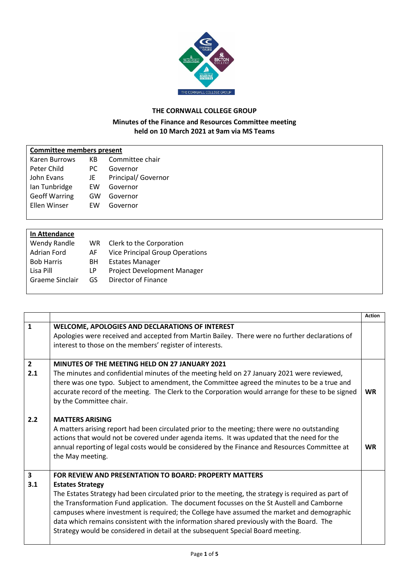

## **THE CORNWALL COLLEGE GROUP**

## **Minutes of the Finance and Resources Committee meeting held on 10 March 2021 at 9am via MS Teams**

## **Committee members present**

| Karen Burrows        | КB        | Committee chair     |
|----------------------|-----------|---------------------|
| Peter Child          | PC.       | Governor            |
| John Evans           | JE        | Principal/ Governor |
| lan Tunbridge        | <b>FW</b> | Governor            |
| <b>Geoff Warring</b> | GW        | Governor            |
| Ellen Winser         | <b>FW</b> | Governor            |
|                      |           |                     |

| In Attendance     |     |                                        |
|-------------------|-----|----------------------------------------|
| Wendy Randle      | WR. | Clerk to the Corporation               |
| Adrian Ford       | AF  | <b>Vice Principal Group Operations</b> |
| <b>Bob Harris</b> | BН  | <b>Estates Manager</b>                 |
| Lisa Pill         | LP  | Project Development Manager            |
| Graeme Sinclair   | GS  | Director of Finance                    |
|                   |     |                                        |

|                                |                                                                                                                                                                                                                                                                                                                                                                                                                                                                                                                                                                          | <b>Action</b> |
|--------------------------------|--------------------------------------------------------------------------------------------------------------------------------------------------------------------------------------------------------------------------------------------------------------------------------------------------------------------------------------------------------------------------------------------------------------------------------------------------------------------------------------------------------------------------------------------------------------------------|---------------|
| $\mathbf{1}$                   | WELCOME, APOLOGIES AND DECLARATIONS OF INTEREST<br>Apologies were received and accepted from Martin Bailey. There were no further declarations of<br>interest to those on the members' register of interests.                                                                                                                                                                                                                                                                                                                                                            |               |
| $\overline{2}$<br>2.1          | <b>MINUTES OF THE MEETING HELD ON 27 JANUARY 2021</b><br>The minutes and confidential minutes of the meeting held on 27 January 2021 were reviewed,<br>there was one typo. Subject to amendment, the Committee agreed the minutes to be a true and<br>accurate record of the meeting. The Clerk to the Corporation would arrange for these to be signed<br>by the Committee chair.                                                                                                                                                                                       | <b>WR</b>     |
| 2.2                            | <b>MATTERS ARISING</b><br>A matters arising report had been circulated prior to the meeting; there were no outstanding<br>actions that would not be covered under agenda items. It was updated that the need for the<br>annual reporting of legal costs would be considered by the Finance and Resources Committee at<br>the May meeting.                                                                                                                                                                                                                                | <b>WR</b>     |
| $\overline{\mathbf{3}}$<br>3.1 | <b>FOR REVIEW AND PRESENTATION TO BOARD: PROPERTY MATTERS</b><br><b>Estates Strategy</b><br>The Estates Strategy had been circulated prior to the meeting, the strategy is required as part of<br>the Transformation Fund application. The document focusses on the St Austell and Camborne<br>campuses where investment is required; the College have assumed the market and demographic<br>data which remains consistent with the information shared previously with the Board. The<br>Strategy would be considered in detail at the subsequent Special Board meeting. |               |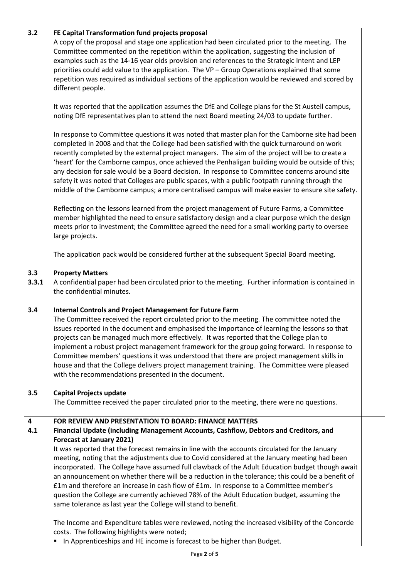| 3.2          | FE Capital Transformation fund projects proposal                                                                                                                                                                                                                                                                                                                                                                                                                                                                                                                                                                                                                                                                                                                                                                                                                                                                                                                                                           |  |
|--------------|------------------------------------------------------------------------------------------------------------------------------------------------------------------------------------------------------------------------------------------------------------------------------------------------------------------------------------------------------------------------------------------------------------------------------------------------------------------------------------------------------------------------------------------------------------------------------------------------------------------------------------------------------------------------------------------------------------------------------------------------------------------------------------------------------------------------------------------------------------------------------------------------------------------------------------------------------------------------------------------------------------|--|
|              | A copy of the proposal and stage one application had been circulated prior to the meeting. The<br>Committee commented on the repetition within the application, suggesting the inclusion of<br>examples such as the 14-16 year olds provision and references to the Strategic Intent and LEP<br>priorities could add value to the application. The VP - Group Operations explained that some<br>repetition was required as individual sections of the application would be reviewed and scored by<br>different people.                                                                                                                                                                                                                                                                                                                                                                                                                                                                                     |  |
|              | It was reported that the application assumes the DfE and College plans for the St Austell campus,<br>noting DfE representatives plan to attend the next Board meeting 24/03 to update further.                                                                                                                                                                                                                                                                                                                                                                                                                                                                                                                                                                                                                                                                                                                                                                                                             |  |
|              | In response to Committee questions it was noted that master plan for the Camborne site had been<br>completed in 2008 and that the College had been satisfied with the quick turnaround on work<br>recently completed by the external project managers. The aim of the project will be to create a<br>'heart' for the Camborne campus, once achieved the Penhaligan building would be outside of this;<br>any decision for sale would be a Board decision. In response to Committee concerns around site<br>safety it was noted that Colleges are public spaces, with a public footpath running through the<br>middle of the Camborne campus; a more centralised campus will make easier to ensure site safety.                                                                                                                                                                                                                                                                                             |  |
|              | Reflecting on the lessons learned from the project management of Future Farms, a Committee<br>member highlighted the need to ensure satisfactory design and a clear purpose which the design<br>meets prior to investment; the Committee agreed the need for a small working party to oversee<br>large projects.                                                                                                                                                                                                                                                                                                                                                                                                                                                                                                                                                                                                                                                                                           |  |
|              | The application pack would be considered further at the subsequent Special Board meeting.                                                                                                                                                                                                                                                                                                                                                                                                                                                                                                                                                                                                                                                                                                                                                                                                                                                                                                                  |  |
| 3.3<br>3.3.1 | <b>Property Matters</b><br>A confidential paper had been circulated prior to the meeting. Further information is contained in<br>the confidential minutes.                                                                                                                                                                                                                                                                                                                                                                                                                                                                                                                                                                                                                                                                                                                                                                                                                                                 |  |
| 3.4          | <b>Internal Controls and Project Management for Future Farm</b><br>The Committee received the report circulated prior to the meeting. The committee noted the<br>issues reported in the document and emphasised the importance of learning the lessons so that<br>projects can be managed much more effectively. It was reported that the College plan to<br>implement a robust project management framework for the group going forward. In response to<br>Committee members' questions it was understood that there are project management skills in<br>house and that the College delivers project management training. The Committee were pleased<br>with the recommendations presented in the document.                                                                                                                                                                                                                                                                                               |  |
| 3.5          | <b>Capital Projects update</b><br>The Committee received the paper circulated prior to the meeting, there were no questions.                                                                                                                                                                                                                                                                                                                                                                                                                                                                                                                                                                                                                                                                                                                                                                                                                                                                               |  |
| 4<br>4.1     | FOR REVIEW AND PRESENTATION TO BOARD: FINANCE MATTERS<br>Financial Update (including Management Accounts, Cashflow, Debtors and Creditors, and<br><b>Forecast at January 2021)</b><br>It was reported that the forecast remains in line with the accounts circulated for the January<br>meeting, noting that the adjustments due to Covid considered at the January meeting had been<br>incorporated. The College have assumed full clawback of the Adult Education budget though await<br>an announcement on whether there will be a reduction in the tolerance; this could be a benefit of<br>f1m and therefore an increase in cash flow of f1m. In response to a Committee member's<br>question the College are currently achieved 78% of the Adult Education budget, assuming the<br>same tolerance as last year the College will stand to benefit.<br>The Income and Expenditure tables were reviewed, noting the increased visibility of the Concorde<br>costs. The following highlights were noted; |  |
|              | In Apprenticeships and HE income is forecast to be higher than Budget.                                                                                                                                                                                                                                                                                                                                                                                                                                                                                                                                                                                                                                                                                                                                                                                                                                                                                                                                     |  |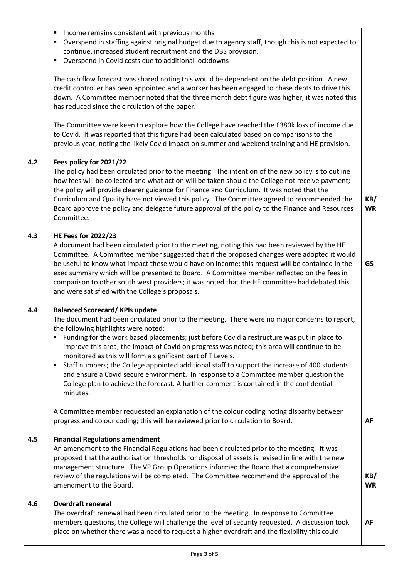|     | Income remains consistent with previous months<br>Overspend in staffing against original budget due to agency staff, though this is not expected to<br>п<br>continue, increased student recruitment and the DBS provision.<br>Overspend in Covid costs due to additional lockdowns<br>٠                                                                                                                                                                                                                                                                                                                                                                                                                                                            |                  |
|-----|----------------------------------------------------------------------------------------------------------------------------------------------------------------------------------------------------------------------------------------------------------------------------------------------------------------------------------------------------------------------------------------------------------------------------------------------------------------------------------------------------------------------------------------------------------------------------------------------------------------------------------------------------------------------------------------------------------------------------------------------------|------------------|
|     | The cash flow forecast was shared noting this would be dependent on the debt position. A new<br>credit controller has been appointed and a worker has been engaged to chase debts to drive this<br>down. A Committee member noted that the three month debt figure was higher; it was noted this<br>has reduced since the circulation of the paper.                                                                                                                                                                                                                                                                                                                                                                                                |                  |
|     | The Committee were keen to explore how the College have reached the £380k loss of income due<br>to Covid. It was reported that this figure had been calculated based on comparisons to the<br>previous year, noting the likely Covid impact on summer and weekend training and HE provision.                                                                                                                                                                                                                                                                                                                                                                                                                                                       |                  |
| 4.2 | Fees policy for 2021/22<br>The policy had been circulated prior to the meeting. The intention of the new policy is to outline<br>how fees will be collected and what action will be taken should the College not receive payment;<br>the policy will provide clearer guidance for Finance and Curriculum. It was noted that the<br>Curriculum and Quality have not viewed this policy. The Committee agreed to recommended the<br>Board approve the policy and delegate future approval of the policy to the Finance and Resources<br>Committee.                                                                                                                                                                                                   | KB/<br><b>WR</b> |
| 4.3 | <b>HE Fees for 2022/23</b><br>A document had been circulated prior to the meeting, noting this had been reviewed by the HE<br>Committee. A Committee member suggested that if the proposed changes were adopted it would<br>be useful to know what impact these would have on income; this request will be contained in the<br>exec summary which will be presented to Board. A Committee member reflected on the fees in<br>comparison to other south west providers; it was noted that the HE committee had debated this<br>and were satisfied with the College's proposals.                                                                                                                                                                     | <b>GS</b>        |
| 4.4 | <b>Balanced Scorecard/KPIs update</b><br>The document had been circulated prior to the meeting. There were no major concerns to report,<br>the following highlights were noted:<br>Funding for the work based placements; just before Covid a restructure was put in place to<br>improve this area, the impact of Covid on progress was noted; this area will continue to be<br>monitored as this will form a significant part of T Levels.<br>Staff numbers; the College appointed additional staff to support the increase of 400 students<br>Ξ<br>and ensure a Covid secure environment. In response to a Committee member question the<br>College plan to achieve the forecast. A further comment is contained in the confidential<br>minutes. |                  |
|     | A Committee member requested an explanation of the colour coding noting disparity between<br>progress and colour coding; this will be reviewed prior to circulation to Board.                                                                                                                                                                                                                                                                                                                                                                                                                                                                                                                                                                      | AF               |
| 4.5 | <b>Financial Regulations amendment</b><br>An amendment to the Financial Regulations had been circulated prior to the meeting. It was<br>proposed that the authorisation thresholds for disposal of assets is revised in line with the new<br>management structure. The VP Group Operations informed the Board that a comprehensive<br>review of the regulations will be completed. The Committee recommend the approval of the<br>amendment to the Board.                                                                                                                                                                                                                                                                                          | KB/<br><b>WR</b> |
| 4.6 | <b>Overdraft renewal</b><br>The overdraft renewal had been circulated prior to the meeting. In response to Committee<br>members questions, the College will challenge the level of security requested. A discussion took<br>place on whether there was a need to request a higher overdraft and the flexibility this could                                                                                                                                                                                                                                                                                                                                                                                                                         | AF               |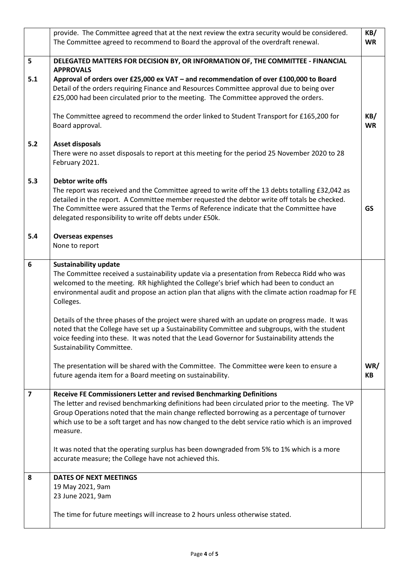|                | provide. The Committee agreed that at the next review the extra security would be considered.<br>The Committee agreed to recommend to Board the approval of the overdraft renewal.                                                                                                                                                                                                      | KB/<br><b>WR</b> |
|----------------|-----------------------------------------------------------------------------------------------------------------------------------------------------------------------------------------------------------------------------------------------------------------------------------------------------------------------------------------------------------------------------------------|------------------|
| 5              | DELEGATED MATTERS FOR DECISION BY, OR INFORMATION OF, THE COMMITTEE - FINANCIAL<br><b>APPROVALS</b>                                                                                                                                                                                                                                                                                     |                  |
| 5.1            | Approval of orders over £25,000 ex VAT - and recommendation of over £100,000 to Board<br>Detail of the orders requiring Finance and Resources Committee approval due to being over<br>£25,000 had been circulated prior to the meeting. The Committee approved the orders.                                                                                                              |                  |
|                | The Committee agreed to recommend the order linked to Student Transport for £165,200 for<br>Board approval.                                                                                                                                                                                                                                                                             | KB/<br><b>WR</b> |
| 5.2            | <b>Asset disposals</b><br>There were no asset disposals to report at this meeting for the period 25 November 2020 to 28<br>February 2021.                                                                                                                                                                                                                                               |                  |
| 5.3            | <b>Debtor write offs</b><br>The report was received and the Committee agreed to write off the 13 debts totalling £32,042 as<br>detailed in the report. A Committee member requested the debtor write off totals be checked.<br>The Committee were assured that the Terms of Reference indicate that the Committee have<br>delegated responsibility to write off debts under £50k.       | <b>GS</b>        |
| 5.4            | <b>Overseas expenses</b><br>None to report                                                                                                                                                                                                                                                                                                                                              |                  |
| 6              | <b>Sustainability update</b><br>The Committee received a sustainability update via a presentation from Rebecca Ridd who was<br>welcomed to the meeting. RR highlighted the College's brief which had been to conduct an<br>environmental audit and propose an action plan that aligns with the climate action roadmap for FE<br>Colleges.                                               |                  |
|                | Details of the three phases of the project were shared with an update on progress made. It was<br>noted that the College have set up a Sustainability Committee and subgroups, with the student<br>voice feeding into these. It was noted that the Lead Governor for Sustainability attends the<br>Sustainability Committee.                                                            |                  |
|                | The presentation will be shared with the Committee. The Committee were keen to ensure a<br>future agenda item for a Board meeting on sustainability.                                                                                                                                                                                                                                    | WR/<br><b>KB</b> |
| $\overline{7}$ | Receive FE Commissioners Letter and revised Benchmarking Definitions<br>The letter and revised benchmarking definitions had been circulated prior to the meeting. The VP<br>Group Operations noted that the main change reflected borrowing as a percentage of turnover<br>which use to be a soft target and has now changed to the debt service ratio which is an improved<br>measure. |                  |
|                | It was noted that the operating surplus has been downgraded from 5% to 1% which is a more<br>accurate measure; the College have not achieved this.                                                                                                                                                                                                                                      |                  |
| 8              | <b>DATES OF NEXT MEETINGS</b><br>19 May 2021, 9am<br>23 June 2021, 9am                                                                                                                                                                                                                                                                                                                  |                  |
|                | The time for future meetings will increase to 2 hours unless otherwise stated.                                                                                                                                                                                                                                                                                                          |                  |